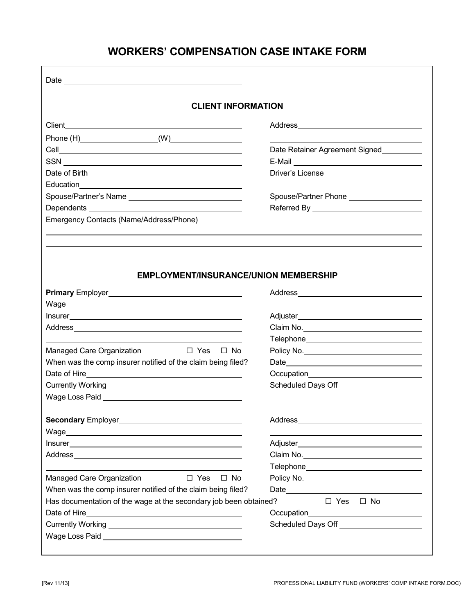# **WORKERS' COMPENSATION CASE INTAKE FORM**

| <b>CLIENT INFORMATION</b>                                                                                                                                                                                                                                                         |                                                                                                                                                                                                                                      |
|-----------------------------------------------------------------------------------------------------------------------------------------------------------------------------------------------------------------------------------------------------------------------------------|--------------------------------------------------------------------------------------------------------------------------------------------------------------------------------------------------------------------------------------|
|                                                                                                                                                                                                                                                                                   |                                                                                                                                                                                                                                      |
|                                                                                                                                                                                                                                                                                   |                                                                                                                                                                                                                                      |
|                                                                                                                                                                                                                                                                                   | Date Retainer Agreement Signed                                                                                                                                                                                                       |
|                                                                                                                                                                                                                                                                                   |                                                                                                                                                                                                                                      |
|                                                                                                                                                                                                                                                                                   |                                                                                                                                                                                                                                      |
|                                                                                                                                                                                                                                                                                   |                                                                                                                                                                                                                                      |
| Spouse/Partner's Name                                                                                                                                                                                                                                                             | Spouse/Partner Phone ____________________                                                                                                                                                                                            |
|                                                                                                                                                                                                                                                                                   |                                                                                                                                                                                                                                      |
| Emergency Contacts (Name/Address/Phone)                                                                                                                                                                                                                                           |                                                                                                                                                                                                                                      |
|                                                                                                                                                                                                                                                                                   |                                                                                                                                                                                                                                      |
|                                                                                                                                                                                                                                                                                   |                                                                                                                                                                                                                                      |
|                                                                                                                                                                                                                                                                                   |                                                                                                                                                                                                                                      |
|                                                                                                                                                                                                                                                                                   |                                                                                                                                                                                                                                      |
| <b>EMPLOYMENT/INSURANCE/UNION MEMBERSHIP</b>                                                                                                                                                                                                                                      |                                                                                                                                                                                                                                      |
|                                                                                                                                                                                                                                                                                   |                                                                                                                                                                                                                                      |
|                                                                                                                                                                                                                                                                                   |                                                                                                                                                                                                                                      |
|                                                                                                                                                                                                                                                                                   |                                                                                                                                                                                                                                      |
|                                                                                                                                                                                                                                                                                   |                                                                                                                                                                                                                                      |
|                                                                                                                                                                                                                                                                                   | Claim No.                                                                                                                                                                                                                            |
|                                                                                                                                                                                                                                                                                   |                                                                                                                                                                                                                                      |
| Managed Care Organization □ Yes □ No                                                                                                                                                                                                                                              | Policy No. <u>__________________________________</u>                                                                                                                                                                                 |
| When was the comp insurer notified of the claim being filed?                                                                                                                                                                                                                      |                                                                                                                                                                                                                                      |
|                                                                                                                                                                                                                                                                                   |                                                                                                                                                                                                                                      |
|                                                                                                                                                                                                                                                                                   | Scheduled Days Off ______________________                                                                                                                                                                                            |
|                                                                                                                                                                                                                                                                                   |                                                                                                                                                                                                                                      |
|                                                                                                                                                                                                                                                                                   |                                                                                                                                                                                                                                      |
|                                                                                                                                                                                                                                                                                   |                                                                                                                                                                                                                                      |
|                                                                                                                                                                                                                                                                                   |                                                                                                                                                                                                                                      |
|                                                                                                                                                                                                                                                                                   |                                                                                                                                                                                                                                      |
|                                                                                                                                                                                                                                                                                   |                                                                                                                                                                                                                                      |
|                                                                                                                                                                                                                                                                                   |                                                                                                                                                                                                                                      |
|                                                                                                                                                                                                                                                                                   |                                                                                                                                                                                                                                      |
| $\Box$ Yes<br>$\square$ No                                                                                                                                                                                                                                                        |                                                                                                                                                                                                                                      |
|                                                                                                                                                                                                                                                                                   |                                                                                                                                                                                                                                      |
|                                                                                                                                                                                                                                                                                   | $\Box$ Yes $\Box$ No                                                                                                                                                                                                                 |
|                                                                                                                                                                                                                                                                                   |                                                                                                                                                                                                                                      |
| Address and the contract of the contract of the contract of the contract of the contract of the contract of the<br>Managed Care Organization<br>When was the comp insurer notified of the claim being filed?<br>Has documentation of the wage at the secondary job been obtained? | Scheduled Days Off <b>Contract Contract Contract Contract Contract Contract Contract Contract Contract Contract Contract Contract Contract Contract Contract Contract Contract Contract Contract Contract Contract Contract Cont</b> |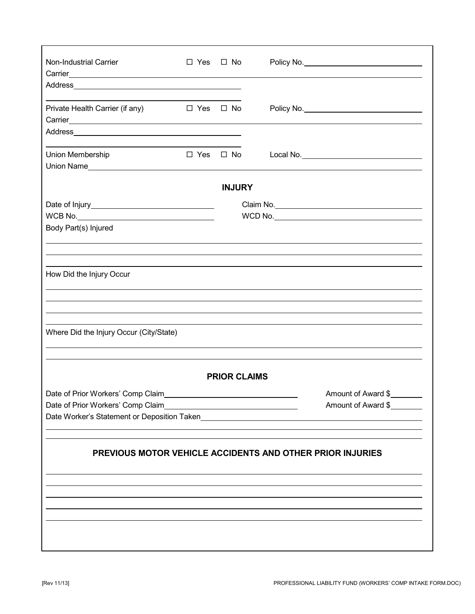| Non-Industrial Carrier<br>Carrier <u>Carrier Carrier</u> Carrier Carrier Carrier Carrier Carrier Carrier Carrier Carrier Carrier Carrier Carrier | $\Box$ Yes $\Box$ No |                     |                                                                                                                                               |  |  |  |
|--------------------------------------------------------------------------------------------------------------------------------------------------|----------------------|---------------------|-----------------------------------------------------------------------------------------------------------------------------------------------|--|--|--|
|                                                                                                                                                  |                      |                     |                                                                                                                                               |  |  |  |
| Private Health Carrier (if any) $\Box$ Yes $\Box$ No                                                                                             |                      |                     |                                                                                                                                               |  |  |  |
|                                                                                                                                                  |                      |                     |                                                                                                                                               |  |  |  |
| Union Membership                                                                                                                                 | $\Box$ Yes $\Box$ No |                     |                                                                                                                                               |  |  |  |
|                                                                                                                                                  |                      |                     |                                                                                                                                               |  |  |  |
|                                                                                                                                                  |                      | <b>INJURY</b>       |                                                                                                                                               |  |  |  |
|                                                                                                                                                  |                      |                     | Claim No.                                                                                                                                     |  |  |  |
|                                                                                                                                                  |                      |                     |                                                                                                                                               |  |  |  |
| Body Part(s) Injured                                                                                                                             |                      |                     |                                                                                                                                               |  |  |  |
|                                                                                                                                                  |                      |                     |                                                                                                                                               |  |  |  |
|                                                                                                                                                  |                      |                     |                                                                                                                                               |  |  |  |
|                                                                                                                                                  |                      |                     |                                                                                                                                               |  |  |  |
| How Did the Injury Occur                                                                                                                         |                      |                     |                                                                                                                                               |  |  |  |
|                                                                                                                                                  |                      |                     |                                                                                                                                               |  |  |  |
|                                                                                                                                                  |                      |                     |                                                                                                                                               |  |  |  |
|                                                                                                                                                  |                      |                     |                                                                                                                                               |  |  |  |
| Where Did the Injury Occur (City/State)                                                                                                          |                      |                     |                                                                                                                                               |  |  |  |
|                                                                                                                                                  |                      |                     |                                                                                                                                               |  |  |  |
|                                                                                                                                                  |                      |                     |                                                                                                                                               |  |  |  |
|                                                                                                                                                  |                      |                     |                                                                                                                                               |  |  |  |
|                                                                                                                                                  |                      | <b>PRIOR CLAIMS</b> |                                                                                                                                               |  |  |  |
|                                                                                                                                                  |                      |                     | Amount of Award \$                                                                                                                            |  |  |  |
| Date of Prior Workers' Comp Claim                                                                                                                |                      |                     | Amount of Award \$<br><u> 1989 - Johann Stoff, deutscher Stoffen und der Stoffen und der Stoffen und der Stoffen und der Stoffen und der </u> |  |  |  |
|                                                                                                                                                  |                      |                     | Date Worker's Statement or Deposition Taken                                                                                                   |  |  |  |
|                                                                                                                                                  |                      |                     |                                                                                                                                               |  |  |  |
|                                                                                                                                                  |                      |                     |                                                                                                                                               |  |  |  |
|                                                                                                                                                  |                      |                     | PREVIOUS MOTOR VEHICLE ACCIDENTS AND OTHER PRIOR INJURIES                                                                                     |  |  |  |
|                                                                                                                                                  |                      |                     |                                                                                                                                               |  |  |  |
|                                                                                                                                                  |                      |                     |                                                                                                                                               |  |  |  |
|                                                                                                                                                  |                      |                     |                                                                                                                                               |  |  |  |
|                                                                                                                                                  |                      |                     |                                                                                                                                               |  |  |  |
|                                                                                                                                                  |                      |                     |                                                                                                                                               |  |  |  |
|                                                                                                                                                  |                      |                     |                                                                                                                                               |  |  |  |
|                                                                                                                                                  |                      |                     |                                                                                                                                               |  |  |  |
|                                                                                                                                                  |                      |                     |                                                                                                                                               |  |  |  |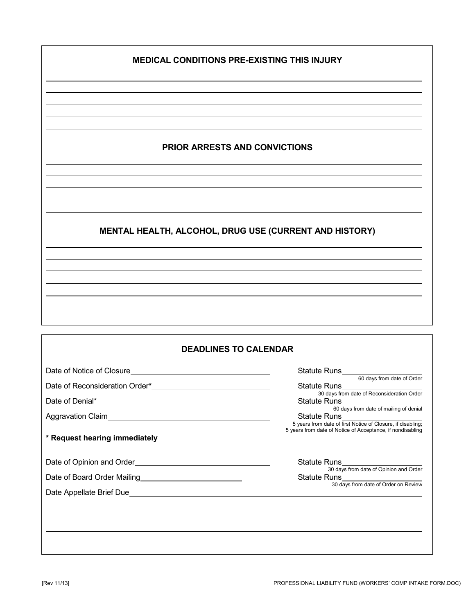### **MEDICAL CONDITIONS PRE-EXISTING THIS INJURY**

  $\ddot{\phantom{a}}$ 

 

## **PRIOR ARRESTS AND CONVICTIONS**

# **MENTAL HEALTH, ALCOHOL, DRUG USE (CURRENT AND HISTORY)**

#### **DEADLINES TO CALENDAR**

|                               | Statute Runs<br>60 days from date of Order                                                                                                                                                                                           |
|-------------------------------|--------------------------------------------------------------------------------------------------------------------------------------------------------------------------------------------------------------------------------------|
|                               | Statute Runs Fig. 1.1 (2015)                                                                                                                                                                                                         |
|                               | 30 days from date of Reconsideration Order<br>60 days from date of mailing of denial                                                                                                                                                 |
|                               | Statute Runs<br><u>Statute</u> Runs<br>5 years from date of first Notice of Closure, if disabling;<br>5 years from date of Notice of Acceptance, if nondisabling                                                                     |
| * Request hearing immediately |                                                                                                                                                                                                                                      |
|                               | Statute Runs <b>Constant Constant Constant Constant Constant Constant Constant Constant Constant Constant Constant Constant Constant Constant Constant Constant Constant Constant Constant Constant Constant Constant Constant C</b> |
|                               | 30 days from date of Opinion and Order                                                                                                                                                                                               |
|                               | 30 days from date of Order on Review                                                                                                                                                                                                 |
|                               |                                                                                                                                                                                                                                      |
|                               |                                                                                                                                                                                                                                      |
|                               |                                                                                                                                                                                                                                      |
|                               |                                                                                                                                                                                                                                      |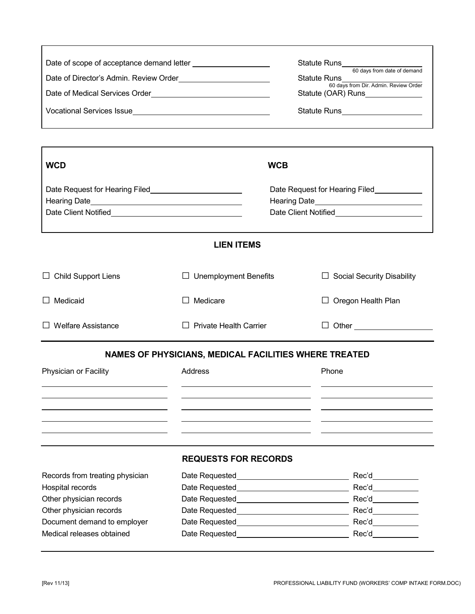|                                                                                                                        |                                                       | Statute Runs_<br>60 days from date of demand<br><b>Statute Runs</b><br>60 days from Dir. Admin. Review Order<br>Statute (OAR) Runs_____________<br>Statute Runs_____________________ |  |
|------------------------------------------------------------------------------------------------------------------------|-------------------------------------------------------|--------------------------------------------------------------------------------------------------------------------------------------------------------------------------------------|--|
| <b>WCD</b>                                                                                                             |                                                       | <b>WCB</b>                                                                                                                                                                           |  |
| Date Request for Hearing Filed <b>Constant Constant Constant Constant Constant Constant Constant Constant Constant</b> |                                                       | Date Request for Hearing Filed_____________<br>Hearing Date                                                                                                                          |  |
|                                                                                                                        | <b>LIEN ITEMS</b>                                     |                                                                                                                                                                                      |  |
| $\Box$ Child Support Liens                                                                                             | $\Box$ Unemployment Benefits                          | $\Box$ Social Security Disability                                                                                                                                                    |  |
| $\Box$ Medicaid                                                                                                        | Medicare<br>ΙI                                        | Oregon Health Plan                                                                                                                                                                   |  |
| $\Box$ Welfare Assistance                                                                                              | $\Box$ Private Health Carrier                         |                                                                                                                                                                                      |  |
|                                                                                                                        | NAMES OF PHYSICIANS, MEDICAL FACILITIES WHERE TREATED |                                                                                                                                                                                      |  |
| Physician or Facility                                                                                                  | Address                                               | Phone                                                                                                                                                                                |  |
|                                                                                                                        |                                                       |                                                                                                                                                                                      |  |
|                                                                                                                        | <b>REQUESTS FOR RECORDS</b>                           |                                                                                                                                                                                      |  |
| Records from treating physician                                                                                        | Date Requested                                        | <u> 1980 - Jan Samuel Barbara, politik eta politik eta politik eta politik eta politik eta politik eta politik e</u>                                                                 |  |
| Hospital records                                                                                                       | Date Requested                                        | Rec'd                                                                                                                                                                                |  |
| Other physician records                                                                                                | Date Requested                                        | Rec'd                                                                                                                                                                                |  |
| Other physician records                                                                                                | Date Requested                                        | Rec'd                                                                                                                                                                                |  |
| Document demand to employer                                                                                            | Date Requested                                        | Rec'd                                                                                                                                                                                |  |
| Medical releases obtained                                                                                              | Date Requested                                        | Rec'd                                                                                                                                                                                |  |